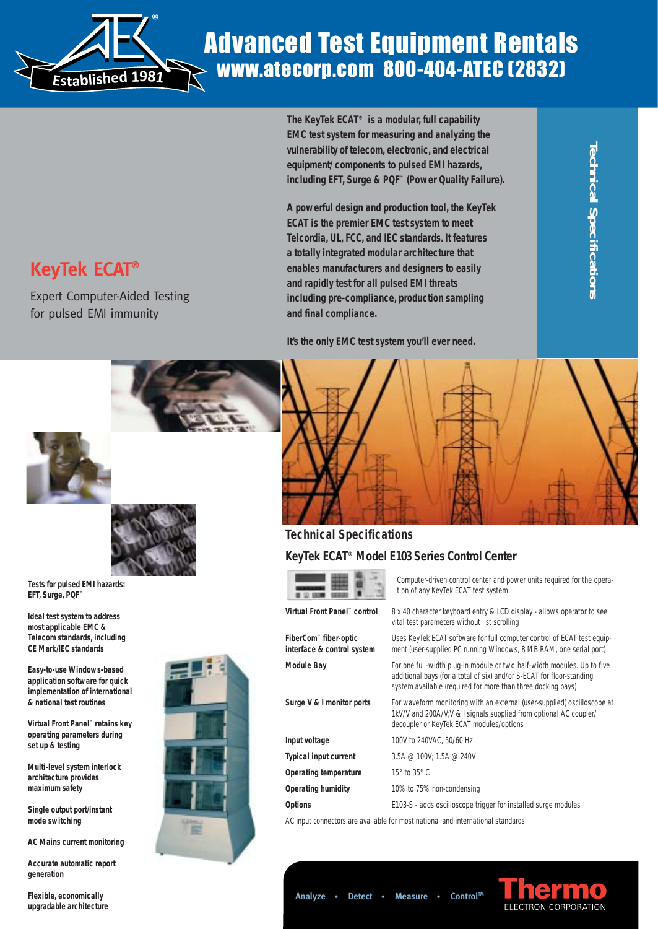

# Advanced Test Equipment Rentals www.atecorp.com 800-404-ATEC (2832)

**The KeyTek ECAT® is a modular, full capability EMC test system for measuring and analyzing the vulnerability of telecom, electronic, and electrical equipment/ components to pulsed EMI hazards, including EFT, Surge & PQF™ (Power Quality Failure).**

**A powerful design and production tool, the KeyTek ECAT is the premier EMC test system to meet Telcordia, UL, FCC, and IEC standards. It features a totally integrated modular architecture that enables manufacturers and designers to easily and rapidly test for all pulsed EMI threats including pre-compliance, production sampling and final compliance.**

**Technical Specifications Technical Specifications** 

**It's the only EMC test system you'll ever need.**

# **KeyTek ECAT®**

Expert Computer-Aided Testing for pulsed EMI immunity





**Tests for pulsed EMI hazards: EFT, Surge, PQF™**

**Ideal test system to address most applicable EMC & Telecom standards, including CE Mark/IEC standards**

**Easy-to-use Windows-based application software for quick implementation of international & national test routines**

**Virtual Front Panel™ retains key operating parameters during set up & testing**

**Multi-level system interlock architecture provides maximum safety**

**Single output port/instant mode switching**

**AC Mains current monitoring**

**Accurate automatic report generation**

**Flexible, economically upgradable architecture**





## **Technical Specifications**

and the control of the property of

## **KeyTek ECAT® Model E103 Series Control Center**

|                                                                  | Computer-driven control center and power units required for the opera-<br>tion of any KeyTek ECAT test system                                                                                                    |
|------------------------------------------------------------------|------------------------------------------------------------------------------------------------------------------------------------------------------------------------------------------------------------------|
| Virtual Front Panel" control                                     | 8 x 40 character keyboard entry & LCD display - allows operator to see<br>vital test parameters without list scrolling                                                                                           |
| FiberCom <sup>**</sup> fiber-optic<br>interface & control system | Uses KeyTek ECAT software for full computer control of ECAT test equip-<br>ment (user-supplied PC running Windows, 8 MB RAM, one serial port)                                                                    |
| <b>Module Bay</b>                                                | For one full-width plug-in module or two half-width modules. Up to five<br>additional bays (for a total of six) and/or S-ECAT for floor-standing<br>system available (required for more than three docking bays) |
| Surge V & I monitor ports                                        | For waveform monitoring with an external (user-supplied) oscilloscope at<br>1kV/V and 200A/V;V & I signals supplied from optional AC coupler/<br>decoupler or KeyTek ECAT modules/options                        |
| Input voltage                                                    | 100V to 240VAC, 50/60 Hz                                                                                                                                                                                         |
| <b>Typical input current</b>                                     | 3.5A $@$ 100V; 1.5A $@$ 240V                                                                                                                                                                                     |
| Operating temperature                                            | $15^\circ$ to $35^\circ$ C                                                                                                                                                                                       |
| <b>Operating humidity</b>                                        | 10% to 75% non-condensing                                                                                                                                                                                        |
| <b>Options</b>                                                   | E103-S - adds oscilloscope trigger for installed surge modules                                                                                                                                                   |

AC input connectors are available for most national and international standards.

**Analyze • Detect • Measure • ControlTM**

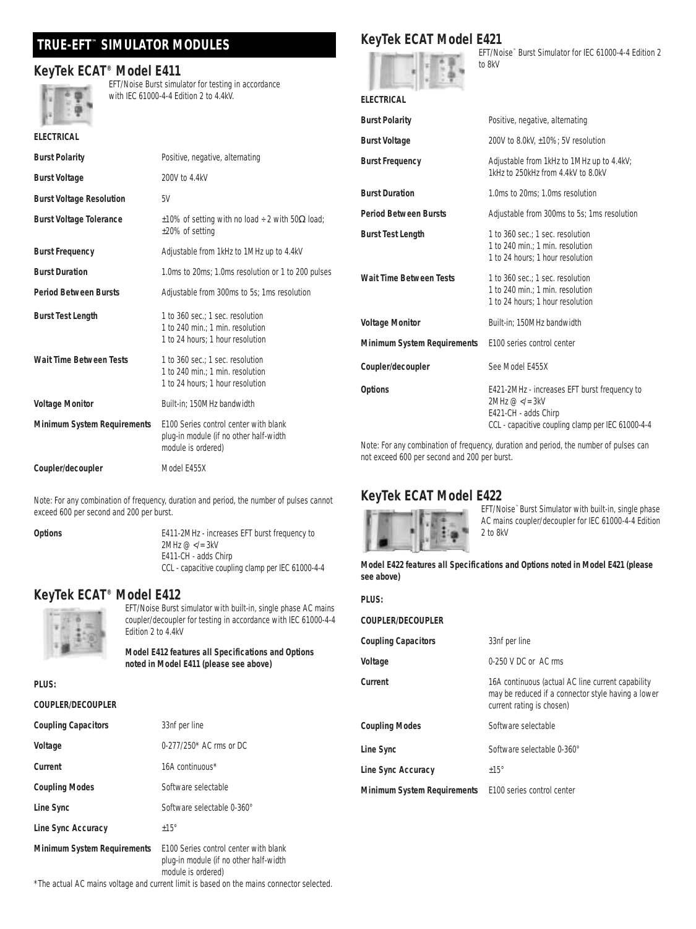## **TRUE-EFT™ SIMULATOR MODULES**

## **KeyTek ECAT® Model E411**



EFT/Noise Burst simulator for testing in accordance with IEC 61000-4-4 Edition 2 to 4.4kV.

plug-in module (if no other half-width

module is ordered)

**Coupler/decoupler** Model E455X

|  | KeyTek ECAT Model E421 |  |
|--|------------------------|--|
|  |                        |  |



**ELECTRICAL**

EFT/Noise™ Burst Simulator for IEC 61000-4-4 Edition 2 to 8kV

|                                                                                                      |                                                                      | <b>Burst Polarity</b>              | Positive, negative, alternating                                      |
|------------------------------------------------------------------------------------------------------|----------------------------------------------------------------------|------------------------------------|----------------------------------------------------------------------|
| <b>ELECTRICAL</b>                                                                                    |                                                                      | <b>Burst Voltage</b>               | 200V to 8.0kV, ±10%; 5V resolution                                   |
| <b>Burst Polarity</b>                                                                                | Positive, negative, alternating                                      | <b>Burst Frequency</b>             | Adjustable from 1kHz to 1MHz up to 4.4kV;                            |
| <b>Burst Voltage</b>                                                                                 | 200V to 4.4kV                                                        |                                    | 1kHz to 250kHz from 4.4kV to 8.0kV                                   |
| <b>Burst Voltage Resolution</b>                                                                      | 5V                                                                   | <b>Burst Duration</b>              | 1.0ms to 20ms: 1.0ms resolution                                      |
| <b>Burst Voltage Tolerance</b><br>$\pm 10\%$ of setting with no load $\div$ 2 with 50 $\Omega$ load; |                                                                      | <b>Period Between Bursts</b>       | Adjustable from 300ms to 5s; 1ms resolution                          |
|                                                                                                      | $\pm 20\%$ of setting                                                | <b>Burst Test Length</b>           | 1 to 360 sec.; 1 sec. resolution                                     |
| <b>Burst Frequency</b>                                                                               | Adjustable from 1kHz to 1MHz up to 4.4kV                             |                                    | 1 to 240 min.: 1 min. resolution<br>1 to 24 hours: 1 hour resolution |
| <b>Burst Duration</b>                                                                                | 1.0ms to 20ms; 1.0ms resolution or 1 to 200 pulses                   | <b>Wait Time Between Tests</b>     | 1 to 360 sec.: 1 sec. resolution                                     |
| <b>Period Between Bursts</b>                                                                         | Adjustable from 300ms to 5s; 1ms resolution                          |                                    | 1 to 240 min.: 1 min. resolution<br>1 to 24 hours: 1 hour resolution |
| <b>Burst Test Length</b>                                                                             | 1 to 360 sec.: 1 sec. resolution<br>1 to 240 min.: 1 min. resolution | <b>Voltage Monitor</b>             | Built-in; 150MHz bandwidth                                           |
|                                                                                                      | 1 to 24 hours: 1 hour resolution                                     | <b>Minimum System Requirements</b> | E100 series control center                                           |
| <b>Wait Time Between Tests</b>                                                                       | 1 to 360 sec.: 1 sec. resolution<br>1 to 240 min.: 1 min. resolution | Coupler/decoupler                  | See Model E455X                                                      |
|                                                                                                      | 1 to 24 hours: 1 hour resolution                                     | <b>Options</b>                     | E421-2MHz - increases EFT burst frequency to                         |
| <b>Voltage Monitor</b>                                                                               | Built-in: 150MHz bandwidth                                           |                                    | $2MHz @ E421-CH - adds Chirp$                                        |
| <b>Minimum System Requirements</b>                                                                   | E100 Series control center with blank                                |                                    | CCL - capacitive coupling clamp per IEC 61000-4-4                    |

Note: For any combination of frequency, duration and period, the number of pulses can not exceed 600 per second and 200 per burst.

## **KeyTek ECAT Model E422**



EFT/Noise™ Burst Simulator with built-in, single phase AC mains coupler/decoupler for IEC 61000-4-4 Edition 2 to 8kV

#### **Model E422 features all Specifications and Options noted in Model E421 (please see above)**

| PLUS:                       |                                                                                                                                      |
|-----------------------------|--------------------------------------------------------------------------------------------------------------------------------------|
| COUPLER/DECOUPLER           |                                                                                                                                      |
| <b>Coupling Capacitors</b>  | 33nf per line                                                                                                                        |
| Voltage                     | $0-250$ V DC or AC rms                                                                                                               |
| Current                     | 16A continuous (actual AC line current capability<br>may be reduced if a connector style having a lower<br>current rating is chosen) |
| <b>Coupling Modes</b>       | Software selectable                                                                                                                  |
| Line Sync                   | Software selectable 0-360°                                                                                                           |
| Line Sync Accuracy          | $+15^\circ$                                                                                                                          |
| Minimum System Requirements | E100 series control center                                                                                                           |

Note: For any combination of frequency, duration and period, the number of pulses cannot exceed 600 per second and 200 per burst.

**Options** E411-2MHz - increases EFT burst frequency to 2MHz @ </= 3kV E411-CH - adds Chirp CCL - capacitive coupling clamp per IEC 61000-4-4

## **KeyTek ECAT® Model E412**



EFT/Noise Burst simulator with built-in, single phase AC mains coupler/decoupler for testing in accordance with IEC 61000-4-4 Edition 2 to 4.4kV

**Model E412 features all Specifications and Options noted in Model E411 (please see above)** 

#### **PLUS:**

#### **COUPLER/DECOUPLER**

| <b>Coupling Capacitors</b>         | 33nf per line                         |
|------------------------------------|---------------------------------------|
| Voltage                            | $0.277/250*$ AC rms or DC             |
| Current                            | 16A continuous*                       |
| <b>Coupling Modes</b>              | Software selectable                   |
| Line Sync                          | Software selectable 0-360°            |
| Line Sync Accuracy                 | $+15^\circ$                           |
| <b>Minimum System Requirements</b> | E100 Series control center with blank |

plug-in module (if no other half-width module is ordered)

\*The actual AC mains voltage and current limit is based on the mains connector selected.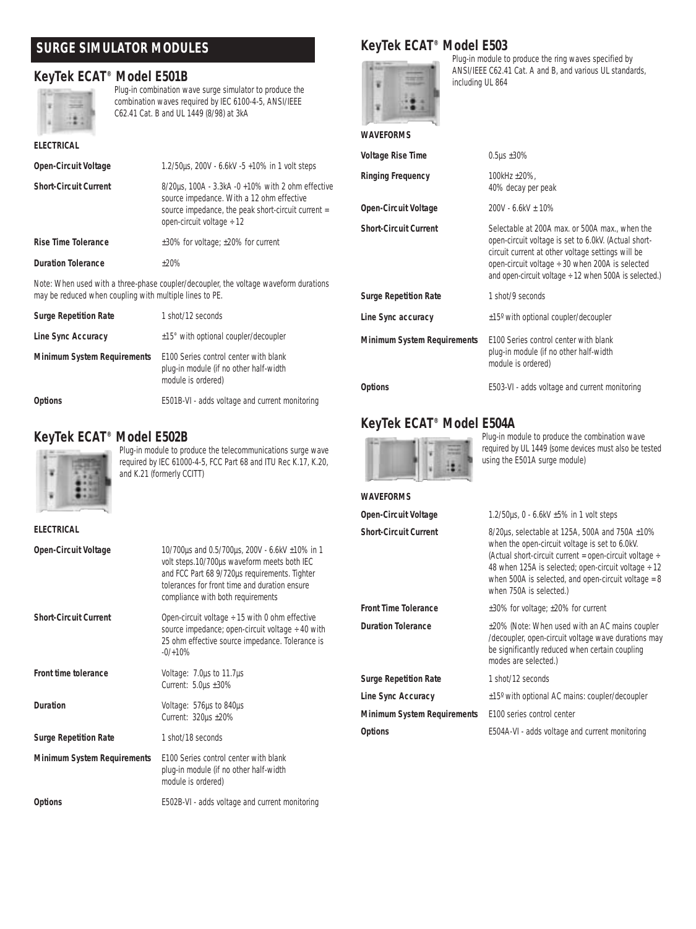## **SURGE SIMULATOR MODULES**

## **KeyTek ECAT® Model E501B**



Plug-in combination wave surge simulator to produce the combination waves required by IEC 6100-4-5, ANSI/IEEE C62.41 Cat. B and UL 1449 (8/98) at 3kA

| <b>ELECTRICAL</b>                                       |                                                                                                                                                                                        |
|---------------------------------------------------------|----------------------------------------------------------------------------------------------------------------------------------------------------------------------------------------|
| <b>Open-Circuit Voltage</b>                             | 1.2/50us, 200V - 6.6kV -5 +10% in 1 volt steps                                                                                                                                         |
| <b>Short-Circuit Current</b>                            | 8/20us, 100A - 3.3kA -0 +10% with 2 ohm effective<br>source impedance. With a 12 ohm effective<br>source impedance, the peak short-circuit current =<br>open-circuit voltage $\div$ 12 |
| <b>Rise Time Tolerance</b>                              | $\pm 30\%$ for voltage; $\pm 20\%$ for current                                                                                                                                         |
| <b>Duration Tolerance</b>                               | $+20%$                                                                                                                                                                                 |
| may be reduced when coupling with multiple lines to PE. | Note: When used with a three-phase coupler/decoupler, the voltage waveform durations                                                                                                   |

| <b>Surge Repetition Rate</b>       | 1 shot/12 seconds                                                                                     |
|------------------------------------|-------------------------------------------------------------------------------------------------------|
| Line Sync Accuracy                 | ±15° with optional coupler/decoupler                                                                  |
| <b>Minimum System Requirements</b> | E100 Series control center with blank<br>plug-in module (if no other half-width<br>module is ordered) |
| <b>Options</b>                     | E501B-VI - adds voltage and current monitoring                                                        |

## **KeyTek ECAT® Model E502B**



Plug-in module to produce the telecommunications surge wave required by IEC 61000-4-5, FCC Part 68 and ITU Rec K.17, K.20, and K.21 (formerly CCITT)

#### **ELECTRICAL**

| <b>Open-Circuit Voltage</b>        | 10/700us and 0.5/700us, 200V - 6.6kV ±10% in 1<br>volt steps.10/700µs waveform meets both IEC<br>and FCC Part 68 9/720us requirements. Tighter<br>tolerances for front time and duration ensure<br>compliance with both requirements |
|------------------------------------|--------------------------------------------------------------------------------------------------------------------------------------------------------------------------------------------------------------------------------------|
| <b>Short-Circuit Current</b>       | Open-circuit voltage $\div$ 15 with 0 ohm effective<br>source impedance; open-circuit voltage $\div$ 40 with<br>25 ohm effective source impedance. Tolerance is<br>$-0/+10%$                                                         |
| Front time tolerance               | Voltage: 7.0us to 11.7us<br>Current: $5.0\mu s \pm 30\%$                                                                                                                                                                             |
| <b>Duration</b>                    | Voltage: 576µs to 840µs<br>Current: 320µs ±20%                                                                                                                                                                                       |
| <b>Surge Repetition Rate</b>       | 1 shot/18 seconds                                                                                                                                                                                                                    |
| <b>Minimum System Requirements</b> | F100 Series control center with blank<br>plug-in module (if no other half-width<br>module is ordered)                                                                                                                                |
| <b>Options</b>                     | E502B-VI - adds voltage and current monitoring                                                                                                                                                                                       |
|                                    |                                                                                                                                                                                                                                      |

## **KeyTek ECAT® Model E503**



Plug-in module to produce the ring waves specified by ANSI/IEEE C62.41 Cat. A and B, and various UL standards, including UL 864

#### **WAVEFORMS**

| Voltage Rise Time                  | $0.5 \mu s + 30\%$                                                                                                                                                                                                                                                              |
|------------------------------------|---------------------------------------------------------------------------------------------------------------------------------------------------------------------------------------------------------------------------------------------------------------------------------|
| <b>Ringing Frequency</b>           | 100kHz $\pm$ 20%.<br>40% decay per peak                                                                                                                                                                                                                                         |
| <b>Open-Circuit Voltage</b>        | $200V - 6.6kV \pm 10\%$                                                                                                                                                                                                                                                         |
| <b>Short-Circuit Current</b>       | Selectable at 200A max. or 500A max when the<br>open-circuit voltage is set to 6.0kV. (Actual short-<br>circuit current at other voltage settings will be<br>open-circuit voltage $\div$ 30 when 200A is selected<br>and open-circuit voltage $\div$ 12 when 500A is selected.) |
| <b>Surge Repetition Rate</b>       | 1 shot/9 seconds                                                                                                                                                                                                                                                                |
| Line Sync accuracy                 | $\pm 15^{\circ}$ with optional coupler/decoupler                                                                                                                                                                                                                                |
| <b>Minimum System Requirements</b> | E100 Series control center with blank<br>plug-in module (if no other half-width<br>module is ordered)                                                                                                                                                                           |
| Options                            | E503-VI - adds voltage and current monitoring                                                                                                                                                                                                                                   |

## **KeyTek ECAT® Model E504A**



**WAVEFORMS**

Plug-in module to produce the combination wave required by UL 1449 (some devices must also be tested using the E501A surge module)

| <b>Open-Circuit Voltage</b>        | 1.2/50 $\mu$ s, 0 - 6.6kV $\pm$ 5% in 1 volt steps                                                                                                                                                                                                                                                                          |
|------------------------------------|-----------------------------------------------------------------------------------------------------------------------------------------------------------------------------------------------------------------------------------------------------------------------------------------------------------------------------|
| <b>Short-Circuit Current</b>       | $8/20\mu s$ , selectable at 125A, 500A and 750A $\pm 10\%$<br>when the open-circuit voltage is set to 6.0kV.<br>(Actual short-circuit current = open-circuit voltage $\div$<br>48 when 125A is selected; open-circuit voltage $\div$ 12<br>when 500A is selected, and open-circuit voltage = $8$<br>when 750A is selected.) |
| <b>Front Time Tolerance</b>        | $\pm 30\%$ for voltage; $\pm 20\%$ for current                                                                                                                                                                                                                                                                              |
| <b>Duration Tolerance</b>          | ±20% (Note: When used with an AC mains coupler<br>/decoupler, open-circuit voltage wave durations may<br>be significantly reduced when certain coupling<br>modes are selected.)                                                                                                                                             |
| <b>Surge Repetition Rate</b>       | 1 shot/12 seconds                                                                                                                                                                                                                                                                                                           |
| Line Sync Accuracy                 | $\pm 15^{\circ}$ with optional AC mains: coupler/decoupler                                                                                                                                                                                                                                                                  |
| <b>Minimum System Requirements</b> | E100 series control center                                                                                                                                                                                                                                                                                                  |
| <b>Options</b>                     | E504A-VI - adds voltage and current monitoring                                                                                                                                                                                                                                                                              |
|                                    |                                                                                                                                                                                                                                                                                                                             |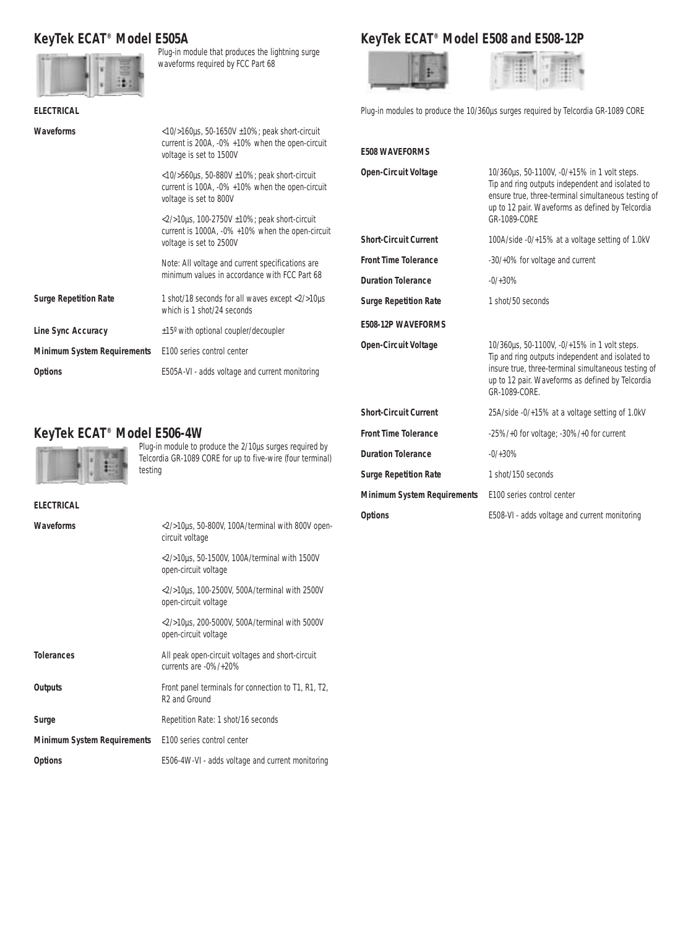## **KeyTek ECAT® Model E505A**



Plug-in module that produces the lightning surge waveforms required by FCC Part 68

## **KeyTek ECAT® Model E508 and E508-12P**



**E508 WAVEFORMS**

| 181       |  |  |
|-----------|--|--|
| $-11 - 1$ |  |  |
| $+ +$     |  |  |
| 1.8.7     |  |  |
| $-11-1$   |  |  |

Plug-in modules to produce the 10/360us surges required by Telcordia GR-1089 CORE

**Open-Circuit Voltage** 10/360us, 50-1100V, -0/+15% in 1 volt steps.

| <b>ELECTRICAL</b>                  |                                                                                                                                           |
|------------------------------------|-------------------------------------------------------------------------------------------------------------------------------------------|
| <b>Waveforms</b>                   | $<$ 10/>160 $\mu$ s, 50-1650V $\pm$ 10%; peak short-circuit<br>current is 200A, -0% +10% when the open-circuit<br>voltage is set to 1500V |
|                                    | $<$ 10/>560 $\mu$ s, 50-880V ±10%; peak short-circuit<br>current is 100A, -0% +10% when the open-circuit<br>voltage is set to 800V        |
|                                    | $<$ 2/>10 $\mu$ s, 100-2750V $\pm$ 10%; peak short-circuit<br>current is 1000A, -0% +10% when the open-circuit<br>voltage is set to 2500V |
|                                    | Note: All voltage and current specifications are<br>minimum values in accordance with FCC Part 68                                         |
| <b>Surge Repetition Rate</b>       | 1 shot/18 seconds for all waves except <2/>><20µs<br>which is 1 shot/24 seconds                                                           |
| Line Sync Accuracy                 | ±15° with optional coupler/decoupler                                                                                                      |
| <b>Minimum System Requirements</b> | E100 series control center                                                                                                                |
| <b>Options</b>                     | E505A-VI - adds voltage and current monitoring                                                                                            |

## **KeyTek ECAT® Model E506-4W**



**ELECTRICAL**

Plug-in module to produce the 2/10µs surges required by Telcordia GR-1089 CORE for up to five-wire (four terminal) testing

| LLLVINVAL                          |                                                                                  |  |
|------------------------------------|----------------------------------------------------------------------------------|--|
| Waveforms                          | <2/>10us, 50-800V, 100A/terminal with 800V open-<br>circuit voltage              |  |
|                                    | <2/>10µs, 50-1500V, 100A/terminal with 1500V<br>open-circuit voltage             |  |
|                                    | $\langle 2/$ >10µs, 100-2500V, 500A/terminal with 2500V<br>open-circuit voltage  |  |
|                                    | $<$ 2/>10 $\mu$ s, 200-5000V, 500A/terminal with 5000V<br>open-circuit voltage   |  |
| <b>Tolerances</b>                  | All peak open-circuit voltages and short-circuit<br>currents are $-0\%/+20\%$    |  |
| Outputs                            | Front panel terminals for connection to T1, R1, T2,<br>R <sub>2</sub> and Ground |  |
| Surge                              | Repetition Rate: 1 shot/16 seconds                                               |  |
| <b>Minimum System Requirements</b> | E100 series control center                                                       |  |
| <b>Options</b>                     | E506-4W-VI - adds voltage and current monitoring                                 |  |

|                                    | Tip and ring outputs independent and isolated to<br>ensure true, three-terminal simultaneous testing of<br>up to 12 pair. Waveforms as defined by Telcordia<br>GR-1089-CORF                                                  |  |
|------------------------------------|------------------------------------------------------------------------------------------------------------------------------------------------------------------------------------------------------------------------------|--|
| <b>Short-Circuit Current</b>       | 100A/side -0/+15% at a voltage setting of 1.0kV                                                                                                                                                                              |  |
| <b>Front Time Tolerance</b>        | -30/+0% for voltage and current                                                                                                                                                                                              |  |
| <b>Duration Tolerance</b>          | $-0/+30%$                                                                                                                                                                                                                    |  |
| <b>Surge Repetition Rate</b>       | 1 shot/50 seconds                                                                                                                                                                                                            |  |
| E508-12P WAVEFORMS                 |                                                                                                                                                                                                                              |  |
| <b>Open-Circuit Voltage</b>        | 10/360us, 50-1100V, -0/+15% in 1 volt steps.<br>Tip and ring outputs independent and isolated to<br>insure true, three-terminal simultaneous testing of<br>up to 12 pair. Waveforms as defined by Telcordia<br>GR-1089-CORF. |  |
| <b>Short-Circuit Current</b>       | 25A/side -0/+15% at a voltage setting of 1.0kV                                                                                                                                                                               |  |
| <b>Front Time Tolerance</b>        | $-25\%/+0$ for voltage; $-30\%/+0$ for current                                                                                                                                                                               |  |
| <b>Duration Tolerance</b>          | $-0/+30%$                                                                                                                                                                                                                    |  |
| <b>Surge Repetition Rate</b>       | 1 shot/150 seconds                                                                                                                                                                                                           |  |
| <b>Minimum System Requirements</b> | E100 series control center                                                                                                                                                                                                   |  |
| <b>Options</b>                     | E508-VI - adds voltage and current monitoring                                                                                                                                                                                |  |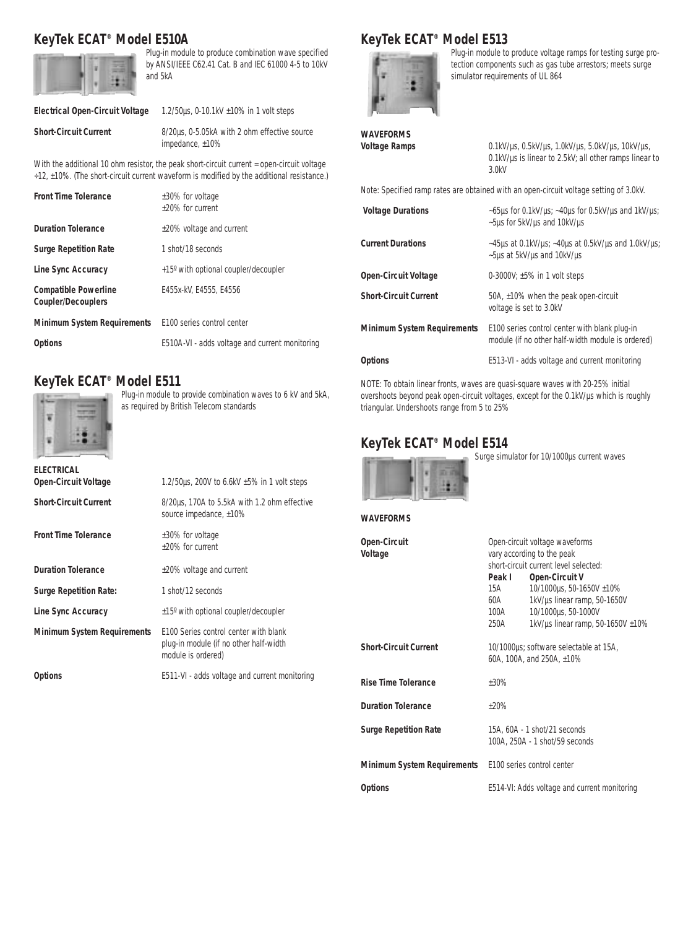## **KeyTek ECAT® Model E510A**



Plug-in module to produce combination wave specified by ANSI/IEEE C62.41 Cat. B and IEC 61000 4-5 to 10kV and 5kA

#### **Electrical Open-Circuit Voltage** 1.2/50µs, 0-10.1kV ±10% in 1 volt steps

**Short-Circuit Current** 8/20us, 0-5.05kA with 2 ohm effective source impedance, ±10%

With the additional 10 ohm resistor, the peak short-circuit current = open-circuit voltage ÷12, ±10%. (The short-circuit current waveform is modified by the additional resistance.)

| <b>Front Time Tolerance</b>                                   | $\pm 30\%$ for voltage<br>+20% for current     |
|---------------------------------------------------------------|------------------------------------------------|
| <b>Duration Tolerance</b>                                     | ±20% voltage and current                       |
| <b>Surge Repetition Rate</b>                                  | 1 shot/18 seconds                              |
| Line Sync Accuracy                                            | +15° with optional coupler/decoupler           |
| <b>Compatible Powerline</b><br><b>Coupler/Decouplers</b>      | E455x-kV, E4555, E4556                         |
| <b>Minimum System Requirements</b> E100 series control center |                                                |
| <b>Options</b>                                                | E510A-VI - adds voltage and current monitoring |

## **KeyTek ECAT® Model E511**



Plug-in module to provide combination waves to 6 kV and 5kA, as required by British Telecom standards

| FI FCTRICAL<br><b>Open-Circuit Voltage</b> | 1.2/50 $\mu$ s, 200V to 6.6kV $\pm$ 5% in 1 volt steps                                                |
|--------------------------------------------|-------------------------------------------------------------------------------------------------------|
| <b>Short-Circuit Current</b>               | 8/20us, 170A to 5.5kA with 1.2 ohm effective<br>source impedance, $±10\%$                             |
| <b>Front Time Tolerance</b>                | ±30% for voltage<br>+20% for current                                                                  |
| <b>Duration Tolerance</b>                  | $±20\%$ voltage and current                                                                           |
| <b>Surge Repetition Rate:</b>              | 1 shot/12 seconds                                                                                     |
| Line Sync Accuracy                         | $\pm 15^{\circ}$ with optional coupler/decoupler                                                      |
| <b>Minimum System Requirements</b>         | F100 Series control center with blank<br>plug-in module (if no other half-width<br>module is ordered) |
| <b>Options</b>                             | E511-VI - adds voltage and current monitoring                                                         |

## **KeyTek ECAT® Model E513**



Plug-in module to produce voltage ramps for testing surge protection components such as gas tube arrestors; meets surge simulator requirements of UL 864

| <b>WAVEFORMS</b><br><b>Voltage Ramps</b>                                               | $0.1$ kV/µs, 0.5kV/µs, 1.0kV/µs, 5.0kV/µs, 10kV/µs,<br>0.1kV/us is linear to 2.5kV; all other ramps linear to<br>3.0kV |  |
|----------------------------------------------------------------------------------------|------------------------------------------------------------------------------------------------------------------------|--|
| Note: Specified ramp rates are obtained with an open-circuit voltage setting of 3.0kV. |                                                                                                                        |  |
| <b>Voltage Durations</b>                                                               | ~65µs for 0.1kV/µs; ~40µs for 0.5kV/µs and 1kV/µs;<br>~5µs for 5kV/µs and 10kV/µs                                      |  |
| <b>Current Durations</b>                                                               | ~45µs at 0.1kV/µs; ~40µs at 0.5kV/µs and 1.0kV/µs;<br>~5µs at 5kV/µs and 10kV/µs                                       |  |
| <b>Open-Circuit Voltage</b>                                                            | 0-3000V; $\pm 5\%$ in 1 volt steps                                                                                     |  |
| <b>Short-Circuit Current</b>                                                           | 50A, $\pm$ 10% when the peak open-circuit<br>voltage is set to 3.0kV                                                   |  |
| <b>Minimum System Requirements</b>                                                     | E100 series control center with blank plug-in<br>module (if no other half-width module is ordered)                     |  |
| <b>Options</b>                                                                         | E513-VI - adds voltage and current monitoring                                                                          |  |

NOTE: To obtain linear fronts, waves are quasi-square waves with 20-25% initial overshoots beyond peak open-circuit voltages, except for the 0.1kV/µs which is roughly triangular. Undershoots range from 5 to 25%

**Open-Circuit** Open-circuit voltage waveforms

## **KeyTek ECAT® Model E514**



**WAVEFORMS**

Surge simulator for 10/1000µs current waves

| Voltage                      | vary according to the peak<br>short-circuit current level selected: |                                        |  |
|------------------------------|---------------------------------------------------------------------|----------------------------------------|--|
|                              |                                                                     |                                        |  |
|                              | Peak I                                                              | <b>Open-Circuit V</b>                  |  |
|                              | 15A                                                                 | 10/1000µs, 50-1650V ±10%               |  |
|                              | 60A                                                                 | 1kV/us linear ramp, 50-1650V           |  |
|                              | 100A                                                                | 10/1000µs, 50-1000V                    |  |
|                              | 250A                                                                | 1kV/us linear ramp, 50-1650V $\pm$ 10% |  |
| <b>Short-Circuit Current</b> | 10/1000us; software selectable at 15A,                              |                                        |  |
|                              | 60A, 100A, and 250A, ±10%                                           |                                        |  |
| <b>Rise Time Tolerance</b>   | $+30%$                                                              |                                        |  |
| <b>Duration Tolerance</b>    | $+20%$                                                              |                                        |  |

| <b>Surge Repetition Rate</b>       | 15A, 60A - 1 shot/21 seconds<br>100A, 250A - 1 shot/59 seconds |
|------------------------------------|----------------------------------------------------------------|
| <b>Minimum System Requirements</b> | E100 series control center                                     |

**Options** E514-VI: Adds voltage and current monitoring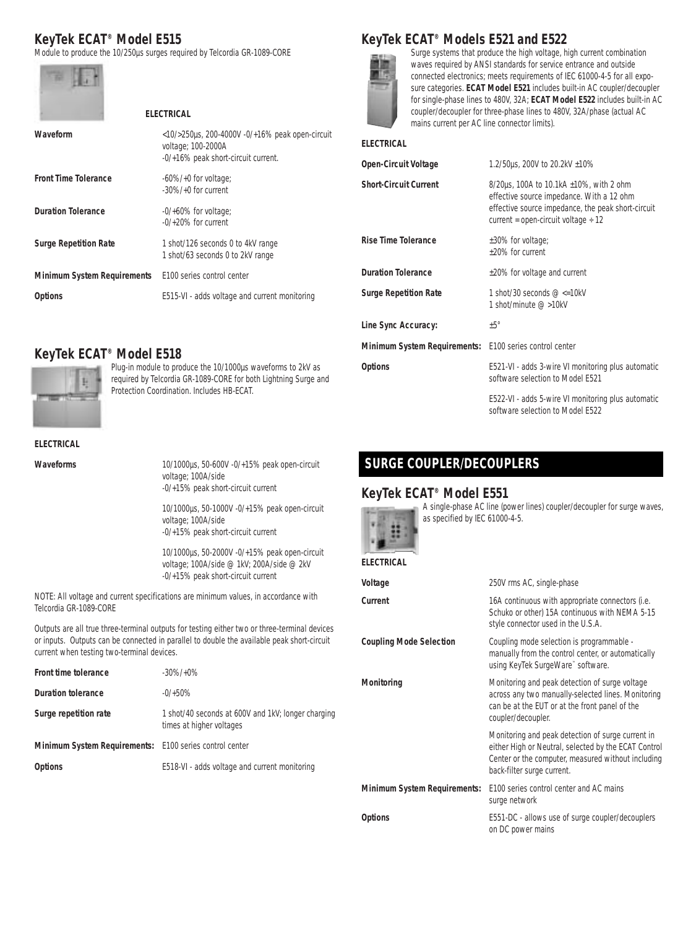## **KeyTek ECAT® Model E515**

Module to produce the 10/250µs surges required by Telcordia GR-1089-CORE



|                              | <b>ELECTRICAL</b>                                                                                                     |
|------------------------------|-----------------------------------------------------------------------------------------------------------------------|
| Waveform                     | $<$ 10/>250 $\mu$ s, 200-4000V -0/+16% peak open-circuit<br>voltage: 100-2000A<br>-0/+16% peak short-circuit current. |
| <b>Front Time Tolerance</b>  | $-60\% / +0$ for voltage;<br>$-30\% / +0$ for current                                                                 |
| <b>Duration Tolerance</b>    | $-0/+60\%$ for voltage:<br>$-0/+20\%$ for current                                                                     |
| <b>Surge Repetition Rate</b> | 1 shot/126 seconds 0 to 4kV range<br>1 shot/63 seconds 0 to 2kV range                                                 |
| Minimum System Requirements  | F100 series control center                                                                                            |
| Options                      | E515-VI - adds voltage and current monitoring                                                                         |
|                              |                                                                                                                       |

## **KeyTek ECAT® Models E521 and E522**



Surge systems that produce the high voltage, high current combination waves required by ANSI standards for service entrance and outside connected electronics; meets requirements of IEC 61000-4-5 for all exposure categories. **ECAT Model E521** includes built-in AC coupler/decoupler for single-phase lines to 480V, 32A; **ECAT Model E522** includes built-in AC coupler/decoupler for three-phase lines to 480V, 32A/phase (actual AC mains current per AC line connector limits).

#### **ELECTRICAL**

| <b>Open-Circuit Voltage</b>         | 1.2/50 µs, 200V to 20.2 kV $\pm 10\%$                                                                                                                                                             |  |
|-------------------------------------|---------------------------------------------------------------------------------------------------------------------------------------------------------------------------------------------------|--|
| <b>Short-Circuit Current</b>        | 8/20 $\mu$ s, 100A to 10.1kA $\pm$ 10%, with 2 ohm<br>effective source impedance. With a 12 ohm<br>effective source impedance, the peak short-circuit<br>current = open-circuit voltage $\div$ 12 |  |
| <b>Rise Time Tolerance</b>          | ±30% for voltage;<br>+20% for current                                                                                                                                                             |  |
| <b>Duration Tolerance</b>           | $\pm$ 20% for voltage and current                                                                                                                                                                 |  |
| <b>Surge Repetition Rate</b>        | 1 shot/30 seconds $@ \leq 10kV$<br>1 shot/minute @ >10kV                                                                                                                                          |  |
| Line Sync Accuracy:                 | $±5^{\circ}$                                                                                                                                                                                      |  |
| <b>Minimum System Requirements:</b> | E100 series control center                                                                                                                                                                        |  |
| <b>Options</b>                      | E521-VI - adds 3-wire VI monitoring plus automatic<br>software selection to Model E521                                                                                                            |  |
|                                     | E522-VI - adds 5-wire VI monitoring plus automatic<br>software selection to Model E522                                                                                                            |  |

## **KeyTek ECAT® Model E518**



Plug-in module to produce the 10/1000µs waveforms to 2kV as required by Telcordia GR-1089-CORE for both Lightning Surge and Protection Coordination. Includes HB-ECAT.

#### **ELECTRICAL**

**Waveforms** 10/1000µs, 50-600V -0/+15% peak open-circuit voltage; 100A/side -0/+15% peak short-circuit current

10/1000µs, 50-1000V -0/+15% peak open-circuit

voltage; 100A/side -0/+15% peak short-circuit current

10/1000µs, 50-2000V -0/+15% peak open-circuit voltage; 100A/side @ 1kV; 200A/side @ 2kV -0/+15% peak short-circuit current

NOTE: All voltage and current specifications are minimum values, in accordance with Telcordia GR-1089-CORE

Outputs are all true three-terminal outputs for testing either two or three-terminal devices or inputs. Outputs can be connected in parallel to double the available peak short-circuit current when testing two-terminal devices.

| Front time tolerance                                    | $-30\%/+0\%$                                                                   |
|---------------------------------------------------------|--------------------------------------------------------------------------------|
| Duration tolerance                                      | $-0/+50%$                                                                      |
| Surge repetition rate                                   | 1 shot/40 seconds at 600V and 1kV; longer charging<br>times at higher voltages |
| Minimum System Requirements: E100 series control center |                                                                                |
| <b>Options</b>                                          | E518-VI - adds voltage and current monitoring                                  |

## **SURGE COUPLER/DECOUPLERS**

#### **KeyTek ECAT® Model E551**



A single-phase AC line (power lines) coupler/decoupler for surge waves, as specified by IEC 61000-4-5.

#### **ELECTRICAL**

| Voltage                             | 250V rms AC, single-phase                                                                                                                                                                     |  |  |
|-------------------------------------|-----------------------------------------------------------------------------------------------------------------------------------------------------------------------------------------------|--|--|
| Current                             | 16A continuous with appropriate connectors (i.e.<br>Schuko or other) 15A continuous with NEMA 5-15<br>style connector used in the U.S.A.                                                      |  |  |
| <b>Coupling Mode Selection</b>      | Coupling mode selection is programmable -<br>manually from the control center, or automatically<br>using KeyTek SurgeWare™ software.                                                          |  |  |
| Monitoring                          | Monitoring and peak detection of surge voltage<br>across any two manually-selected lines. Monitoring<br>can be at the EUT or at the front panel of the<br>coupler/decoupler.                  |  |  |
|                                     | Monitoring and peak detection of surge current in<br>either High or Neutral, selected by the ECAT Control<br>Center or the computer, measured without including<br>back-filter surge current. |  |  |
| <b>Minimum System Requirements:</b> | F100 series control center and AC mains<br>surge network                                                                                                                                      |  |  |
| <b>Options</b>                      | E551-DC - allows use of surge coupler/decouplers<br>on DC power mains                                                                                                                         |  |  |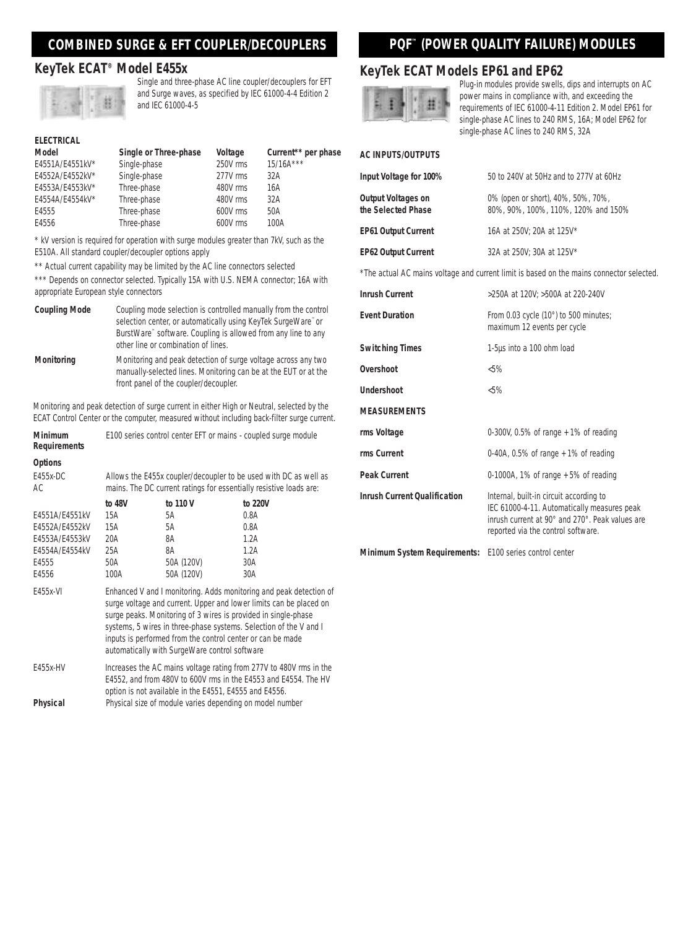## **COMBINED SURGE & EFT COUPLER/DECOUPLERS**

#### **KeyTek ECAT® Model E455x**



Single and three-phase AC line coupler/decouplers for EFT and Surge waves, as specified by IEC 61000-4-4 Edition 2 and IEC 61000-4-5

### **ELECTRICAL**

| Model           | Single or Three-phase | Voltage  | Current** per phase |
|-----------------|-----------------------|----------|---------------------|
| E4551A/E4551kV* | Single-phase          | 250V rms | $15/16A***$         |
| E4552A/E4552kV* | Single-phase          | 277V rms | 32A                 |
| E4553A/E4553kV* | Three-phase           | 480V rms | 16A                 |
| E4554A/E4554kV* | Three-phase           | 480V rms | 32A                 |
| E4555           | Three-phase           | 600V rms | 50A                 |
| E4556           | Three-phase           | 600V rms | 100A                |

\* kV version is required for operation with surge modules greater than 7kV, such as the E510A. All standard coupler/decoupler options apply

\*\* Actual current capability may be limited by the AC line connectors selected

\*\*\* Depends on connector selected. Typically 15A with U.S. NEMA connector; 16A with appropriate European style connectors

| <b>Coupling Mode</b> | Coupling mode selection is controlled manually from the control<br>selection center, or automatically using KeyTek SurgeWare" or<br>BurstWare" software. Coupling is allowed from any line to any<br>other line or combination of lines. |
|----------------------|------------------------------------------------------------------------------------------------------------------------------------------------------------------------------------------------------------------------------------------|
| Monitoring           | Monitoring and peak detection of surge voltage across any two<br>manually-selected lines. Monitoring can be at the EUT or at the<br>front panel of the coupler/decoupler.                                                                |

Monitoring and peak detection of surge current in either High or Neutral, selected by the ECAT Control Center or the computer, measured without including back-filter surge current.

| <b>Minimum</b><br><b>Requirements</b> | E100 series control center EFT or mains - coupled surge module                                                                                                                                                                                                                                                                                                                                 |            |         |
|---------------------------------------|------------------------------------------------------------------------------------------------------------------------------------------------------------------------------------------------------------------------------------------------------------------------------------------------------------------------------------------------------------------------------------------------|------------|---------|
| <b>Options</b>                        |                                                                                                                                                                                                                                                                                                                                                                                                |            |         |
| E455x-DC<br>AC.                       | Allows the E455x coupler/decoupler to be used with DC as well as<br>mains. The DC current ratings for essentially resistive loads are:                                                                                                                                                                                                                                                         |            |         |
|                                       | to 48V                                                                                                                                                                                                                                                                                                                                                                                         | to 110 V   | to 220V |
| E4551A/E4551kV                        | 15A                                                                                                                                                                                                                                                                                                                                                                                            | 5A         | 0.8A    |
| E4552A/E4552kV                        | 15A                                                                                                                                                                                                                                                                                                                                                                                            | 5A         | 0.8A    |
| E4553A/E4553kV                        | 20A                                                                                                                                                                                                                                                                                                                                                                                            | 8A         | 1.2A    |
| E4554A/E4554kV                        | 25A                                                                                                                                                                                                                                                                                                                                                                                            | 8A         | 1.2A    |
| E4555                                 | 50A                                                                                                                                                                                                                                                                                                                                                                                            | 50A (120V) | 30A     |
| E4556                                 | 100A                                                                                                                                                                                                                                                                                                                                                                                           | 50A (120V) | 30A     |
| E455x-VI                              | Enhanced V and I monitoring. Adds monitoring and peak detection of<br>surge voltage and current. Upper and lower limits can be placed on<br>surge peaks. Monitoring of 3 wires is provided in single-phase<br>systems, 5 wires in three-phase systems. Selection of the V and I<br>inputs is performed from the control center or can be made<br>automatically with SurgeWare control software |            |         |
| F455x-HV                              | Increases the AC mains voltage rating from 277V to 480V rms in the<br>E4552, and from 480V to 600V rms in the E4553 and E4554. The HV<br>option is not available in the E4551, E4555 and E4556.                                                                                                                                                                                                |            |         |
|                                       |                                                                                                                                                                                                                                                                                                                                                                                                |            |         |

**Physical** Physical size of module varies depending on model number

## **PQF™ (POWER QUALITY FAILURE) MODULES**

#### **KeyTek ECAT Models EP61 and EP62**



Plug-in modules provide swells, dips and interrupts on AC power mains in compliance with, and exceeding the requirements of IEC 61000-4-11 Edition 2. Model EP61 for single-phase AC lines to 240 RMS, 16A; Model EP62 for single-phase AC lines to 240 RMS, 32A

#### **AC INPUTS/OUTPUTS**

| Input Voltage for 100%                          | 50 to 240V at 50Hz and to 277V at 60Hz                                    |
|-------------------------------------------------|---------------------------------------------------------------------------|
| <b>Output Voltages on</b><br>the Selected Phase | 0% (open or short), 40%, 50%, 70%,<br>80%, 90%, 100%, 110%, 120% and 150% |
| <b>EP61 Output Current</b>                      | 16A at 250V; 20A at 125V*                                                 |
| <b>EP62 Output Current</b>                      | 32A at 250V: 30A at 125V*                                                 |

\*The actual AC mains voltage and current limit is based on the mains connector selected.

| <b>Inrush Current</b>               | >250A at 120V; >500A at 220-240V                                                                                                                                                |
|-------------------------------------|---------------------------------------------------------------------------------------------------------------------------------------------------------------------------------|
| <b>Event Duration</b>               | From 0.03 cycle $(10^{\circ})$ to 500 minutes;<br>maximum 12 events per cycle                                                                                                   |
| <b>Switching Times</b>              | 1-5µs into a 100 ohm load                                                                                                                                                       |
| Overshoot                           | $5\%$                                                                                                                                                                           |
| Undershoot                          | $< 5\%$                                                                                                                                                                         |
| <b>MEASUREMENTS</b>                 |                                                                                                                                                                                 |
| rms Voltage                         | 0-300V, 0.5% of range $+1\%$ of reading                                                                                                                                         |
| rms Current                         | 0-40A, 0.5% of range $+1\%$ of reading                                                                                                                                          |
| <b>Peak Current</b>                 | 0-1000A, 1% of range $+5%$ of reading                                                                                                                                           |
| <b>Inrush Current Qualification</b> | Internal, built-in circuit according to<br>IEC 61000-4-11. Automatically measures peak<br>inrush current at 90° and 270°. Peak values are<br>reported via the control software. |
| <b>Minimum System Requirements:</b> | E100 series control center                                                                                                                                                      |